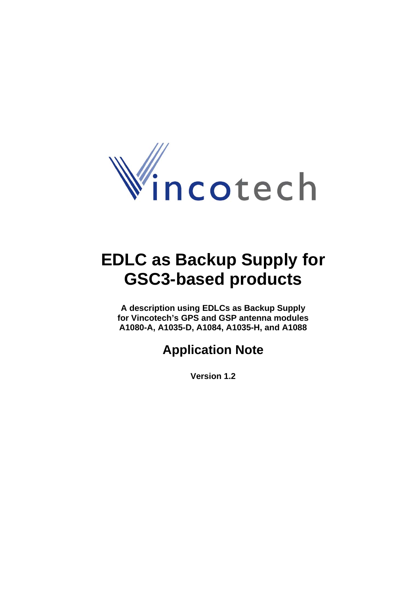

# **EDLC as Backup Supply for GSC3-based products**

**A description using EDLCs as Backup Supply for Vincotech's GPS and GSP antenna modules A1080-A, A1035-D, A1084, A1035-H, and A1088** 

# **Application Note**

**Version 1.2**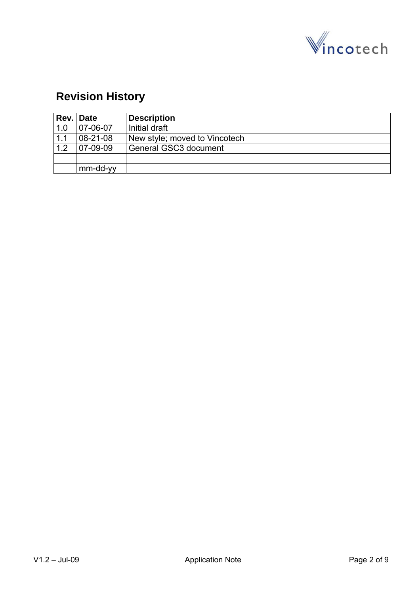

# **Revision History**

|     | Rev. Date      | <b>Description</b>            |
|-----|----------------|-------------------------------|
| 1.0 | 07-06-07       | Initial draft                 |
| 1.1 | $08 - 21 - 08$ | New style; moved to Vincotech |
| 1.2 | $07-09-09$     | General GSC3 document         |
|     |                |                               |
|     | mm-dd-yy       |                               |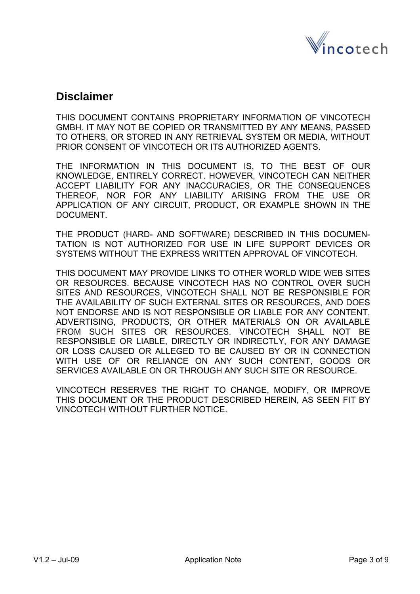

### **Disclaimer**

THIS DOCUMENT CONTAINS PROPRIETARY INFORMATION OF VINCOTECH GMBH. IT MAY NOT BE COPIED OR TRANSMITTED BY ANY MEANS, PASSED TO OTHERS, OR STORED IN ANY RETRIEVAL SYSTEM OR MEDIA, WITHOUT PRIOR CONSENT OF VINCOTECH OR ITS AUTHORIZED AGENTS.

THE INFORMATION IN THIS DOCUMENT IS, TO THE BEST OF OUR KNOWLEDGE, ENTIRELY CORRECT. HOWEVER, VINCOTECH CAN NEITHER ACCEPT LIABILITY FOR ANY INACCURACIES, OR THE CONSEQUENCES THEREOF, NOR FOR ANY LIABILITY ARISING FROM THE USE OR APPLICATION OF ANY CIRCUIT, PRODUCT, OR EXAMPLE SHOWN IN THE DOCUMENT.

THE PRODUCT (HARD- AND SOFTWARE) DESCRIBED IN THIS DOCUMEN-TATION IS NOT AUTHORIZED FOR USE IN LIFE SUPPORT DEVICES OR SYSTEMS WITHOUT THE EXPRESS WRITTEN APPROVAL OF VINCOTECH.

THIS DOCUMENT MAY PROVIDE LINKS TO OTHER WORLD WIDE WEB SITES OR RESOURCES. BECAUSE VINCOTECH HAS NO CONTROL OVER SUCH SITES AND RESOURCES, VINCOTECH SHALL NOT BE RESPONSIBLE FOR THE AVAILABILITY OF SUCH EXTERNAL SITES OR RESOURCES, AND DOES NOT ENDORSE AND IS NOT RESPONSIBLE OR LIABLE FOR ANY CONTENT, ADVERTISING, PRODUCTS, OR OTHER MATERIALS ON OR AVAILABLE FROM SUCH SITES OR RESOURCES. VINCOTECH SHALL NOT BE RESPONSIBLE OR LIABLE, DIRECTLY OR INDIRECTLY, FOR ANY DAMAGE OR LOSS CAUSED OR ALLEGED TO BE CAUSED BY OR IN CONNECTION WITH USE OF OR RELIANCE ON ANY SUCH CONTENT, GOODS OR SERVICES AVAILABLE ON OR THROUGH ANY SUCH SITE OR RESOURCE.

VINCOTECH RESERVES THE RIGHT TO CHANGE, MODIFY, OR IMPROVE THIS DOCUMENT OR THE PRODUCT DESCRIBED HEREIN, AS SEEN FIT BY VINCOTECH WITHOUT FURTHER NOTICE.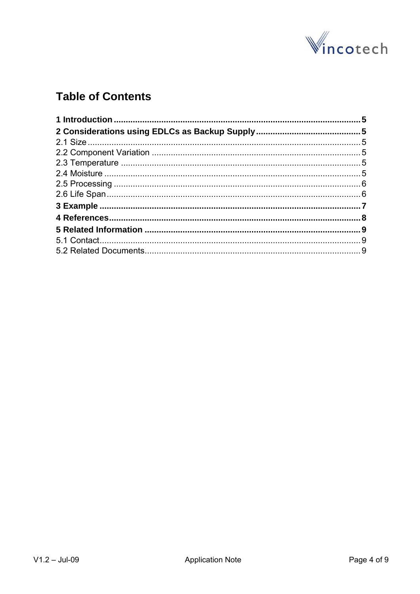

# **Table of Contents**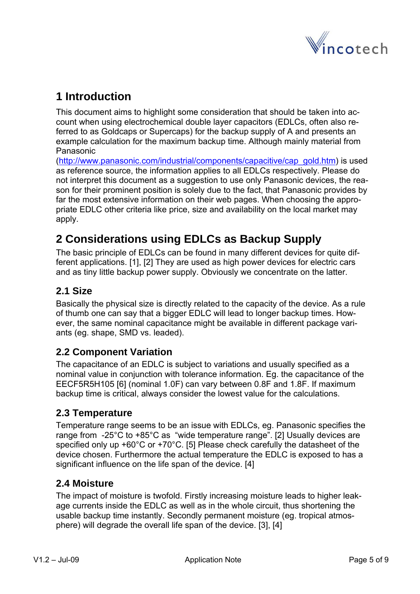

# <span id="page-4-0"></span>**1 Introduction**

This document aims to highlight some consideration that should be taken into account when using electrochemical double layer capacitors (EDLCs, often also referred to as Goldcaps or Supercaps) for the backup supply of A and presents an example calculation for the maximum backup time. Although mainly material from Panasonic

[\(http://www.panasonic.com/industrial/components/capacitive/cap\\_gold.htm](http://www.panasonic.com/industrial/components/capacitive/cap_gold.htm)) is used as reference source, the information applies to all EDLCs respectively. Please do not interpret this document as a suggestion to use only Panasonic devices, the reason for their prominent position is solely due to the fact, that Panasonic provides by far the most extensive information on their web pages. When choosing the appropriate EDLC other criteria like price, size and availability on the local market may apply.

# **2 Considerations using EDLCs as Backup Supply**

The basic principle of EDLCs can be found in many different devices for quite different applications. [1], [2] They are used as high power devices for electric cars and as tiny little backup power supply. Obviously we concentrate on the latter.

#### **2.1 Size**

Basically the physical size is directly related to the capacity of the device. As a rule of thumb one can say that a bigger EDLC will lead to longer backup times. However, the same nominal capacitance might be available in different package variants (eg. shape, SMD vs. leaded).

#### **2.2 Component Variation**

The capacitance of an EDLC is subject to variations and usually specified as a nominal value in conjunction with tolerance information. Eg. the capacitance of the EECF5R5H105 [6] (nominal 1.0F) can vary between 0.8F and 1.8F. If maximum backup time is critical, always consider the lowest value for the calculations.

#### **2.3 Temperature**

Temperature range seems to be an issue with EDLCs, eg. Panasonic specifies the range from -25°C to +85°C as "wide temperature range". [2] Usually devices are specified only up +60°C or +70°C. [5] Please check carefully the datasheet of the device chosen. Furthermore the actual temperature the EDLC is exposed to has a significant influence on the life span of the device. [4]

#### **2.4 Moisture**

The impact of moisture is twofold. Firstly increasing moisture leads to higher leakage currents inside the EDLC as well as in the whole circuit, thus shortening the usable backup time instantly. Secondly permanent moisture (eg. tropical atmosphere) will degrade the overall life span of the device. [3], [4]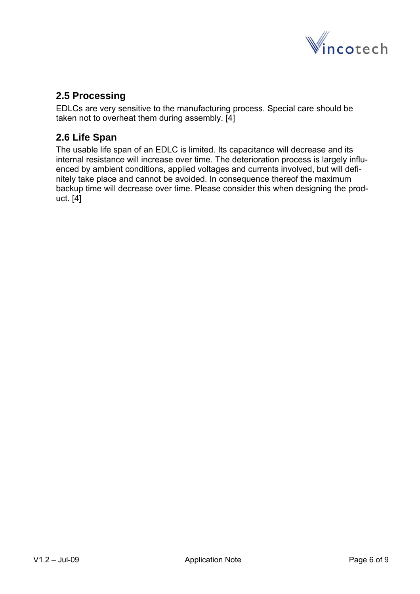

#### <span id="page-5-0"></span>**2.5 Processing**

EDLCs are very sensitive to the manufacturing process. Special care should be taken not to overheat them during assembly. [4]

#### **2.6 Life Span**

The usable life span of an EDLC is limited. Its capacitance will decrease and its internal resistance will increase over time. The deterioration process is largely influenced by ambient conditions, applied voltages and currents involved, but will definitely take place and cannot be avoided. In consequence thereof the maximum backup time will decrease over time. Please consider this when designing the product. [4]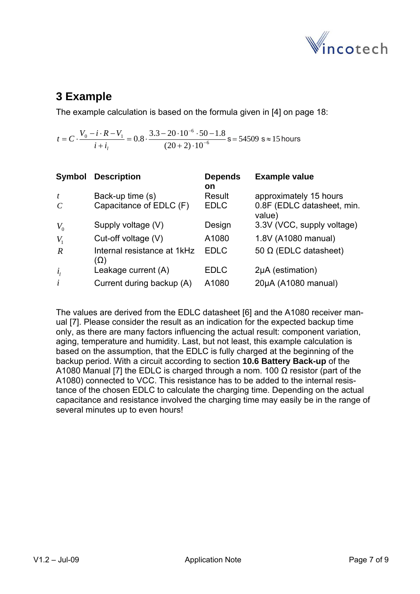

# <span id="page-6-0"></span>**3 Example**

The example calculation is based on the formula given in [4] on page 18:

6  $V_0 - i \cdot R - V_1 = 0.8$  3.3 - 20  $\cdot 10^{-6}$  $0.8 \cdot \frac{3.3 - 20 \cdot 10^{-6} \cdot 50 - 1.8}{(20 + 2) \cdot 10^{-6}}$  $=C \cdot \frac{V_0 - i \cdot R - V_1}{i + i_1} = 0.8 \cdot \frac{3.3 - 20 \cdot 10^{-6} \cdot 50 - 10^{-6}}{(20 + 2) \cdot 10^{-6}}$  $i + i<sub>l</sub>$  $t = C \cdot \frac{V_0 - i \cdot R - V_1}{\cdot \cdot \cdot \cdot} = 0.8 \cdot \frac{3.3 - 20 \cdot 10^{-6} \cdot 50 - 1.8}{\cdot \cdot \cdot \cdot \cdot \cdot}$  s = 54509 s  $\approx$  15 hours

| Symbol           | <b>Description</b>                 | <b>Depends</b> | <b>Example value</b>                 |
|------------------|------------------------------------|----------------|--------------------------------------|
|                  |                                    | <b>on</b>      |                                      |
| $\boldsymbol{t}$ | Back-up time (s)                   | Result         | approximately 15 hours               |
| $\mathcal{C}$    | Capacitance of EDLC (F)            | <b>EDLC</b>    | 0.8F (EDLC datasheet, min.<br>value) |
| $V_0$            | Supply voltage (V)                 | Design         | 3.3V (VCC, supply voltage)           |
| $V_{1}$          | Cut-off voltage (V)                | A1080          | 1.8V (A1080 manual)                  |
| $\overline{R}$   | Internal resistance at 1kHz<br>(Ω) | <b>EDLC</b>    | 50 Ω (EDLC datasheet)                |
| $i_{1}$          | Leakage current (A)                | <b>EDLC</b>    | 2µA (estimation)                     |
| $\dot{i}$        | Current during backup (A)          | A1080          | 20µA (A1080 manual)                  |

The values are derived from the EDLC datasheet [6] and the A1080 receiver manual [7]. Please consider the result as an indication for the expected backup time only, as there are many factors influencing the actual result: component variation, aging, temperature and humidity. Last, but not least, this example calculation is based on the assumption, that the EDLC is fully charged at the beginning of the backup period. With a circuit according to section **10.6 Battery Back-up** of the A1080 Manual [7] the EDLC is charged through a nom. 100  $Ω$  resistor (part of the A1080) connected to VCC. This resistance has to be added to the internal resistance of the chosen EDLC to calculate the charging time. Depending on the actual capacitance and resistance involved the charging time may easily be in the range of several minutes up to even hours!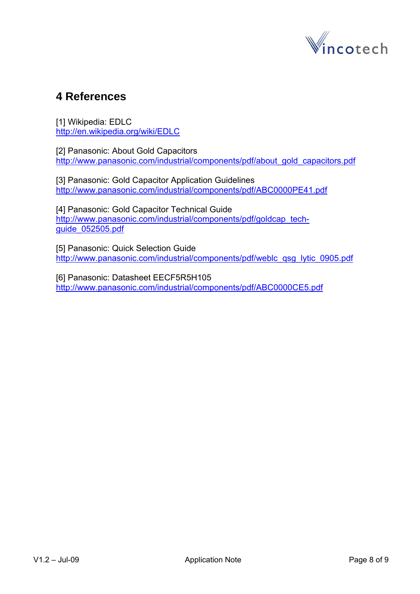

## <span id="page-7-0"></span>**4 References**

[1] Wikipedia: EDLC <http://en.wikipedia.org/wiki/EDLC>

[2] Panasonic: About Gold Capacitors [http://www.panasonic.com/industrial/components/pdf/about\\_gold\\_capacitors.pdf](http://www.panasonic.com/industrial/components/pdf/about_gold_capacitors.pdf)

[3] Panasonic: Gold Capacitor Application Guidelines <http://www.panasonic.com/industrial/components/pdf/ABC0000PE41.pdf>

[4] Panasonic: Gold Capacitor Technical Guide [http://www.panasonic.com/industrial/components/pdf/goldcap\\_tech](http://www.panasonic.com/industrial/components/pdf/goldcap_tech-guide_052505.pdf)[guide\\_052505.pdf](http://www.panasonic.com/industrial/components/pdf/goldcap_tech-guide_052505.pdf)

[5] Panasonic: Quick Selection Guide [http://www.panasonic.com/industrial/components/pdf/weblc\\_qsg\\_lytic\\_0905.pdf](http://www.panasonic.com/industrial/components/pdf/weblc_qsg_lytic_0905.pdf)

[6] Panasonic: Datasheet EECF5R5H105 <http://www.panasonic.com/industrial/components/pdf/ABC0000CE5.pdf>